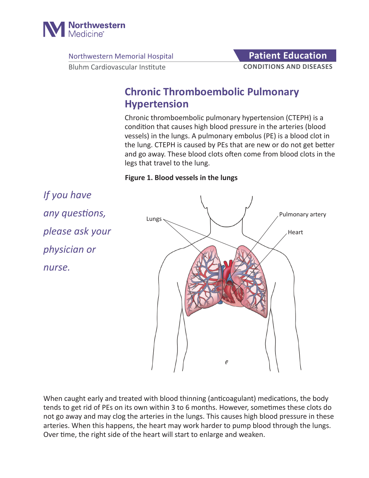

Northwestern Memorial Hospital **Patient Education** 

**CONDITIONS AND DISEASES**

Bluhm Cardiovascular Institute

# **Chronic Thromboembolic Pulmonary Hypertension**

Chronic thromboembolic pulmonary hypertension (CTEPH) is a condition that causes high blood pressure in the arteries (blood vessels) in the lungs. A pulmonary embolus (PE) is a blood clot in the lung. CTEPH is caused by PEs that are new or do not get better and go away. These blood clots often come from blood clots in the legs that travel to the lung.

#### **Figure 1. Blood vessels in the lungs**

*If you have any questions, please ask your physician or nurse.*



When caught early and treated with blood thinning (anticoagulant) medications, the body tends to get rid of PEs on its own within 3 to 6 months. However, sometimes these clots do not go away and may clog the arteries in the lungs. This causes high blood pressure in these arteries. When this happens, the heart may work harder to pump blood through the lungs. Over time, the right side of the heart will start to enlarge and weaken.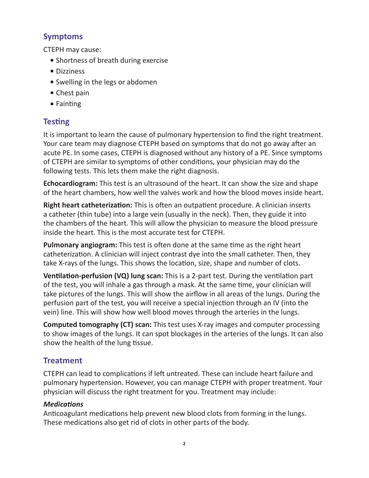### **Symptoms**

CTEPH may cause:

- Shortness of breath during exercise
- Dizziness
- Swelling in the legs or abdomen
- Chest pain
- Fainting

# **Testing**

It is important to learn the cause of pulmonary hypertension to find the right treatment. Your care team may diagnose CTEPH based on symptoms that do not go away after an acute PE. In some cases, CTEPH is diagnosed without any history of a PE. Since symptoms of CTEPH are similar to symptoms of other conditions, your physician may do the following tests. This lets them make the right diagnosis.

**Echocardiogram:** This test is an ultrasound of the heart. It can show the size and shape of the heart chambers, how well the valves work and how the blood moves inside heart.

**Right heart catheterization:** This is often an outpatient procedure. A clinician inserts a catheter (thin tube) into a large vein (usually in the neck). Then, they guide it into the chambers of the heart. This will allow the physician to measure the blood pressure inside the heart. This is the most accurate test for CTEPH.

**Pulmonary angiogram:** This test is often done at the same time as the right heart catheterization. A clinician will inject contrast dye into the small catheter. Then, they take X-rays of the lungs. This shows the location, size, shape and number of clots.

**Ventilation-perfusion (VQ) lung scan:** This is a 2-part test. During the ventilation part of the test, you will inhale a gas through a mask. At the same time, your clinician will take pictures of the lungs. This will show the airflow in all areas of the lungs. During the perfusion part of the test, you will receive a special injection through an IV (into the vein) line. This will show how well blood moves through the arteries in the lungs.

**Computed tomography (CT) scan:** This test uses X-ray images and computer processing to show images of the lungs. It can spot blockages in the arteries of the lungs. It can also show the health of the lung tissue.

# **Treatment**

CTEPH can lead to complications if left untreated. These can include heart failure and pulmonary hypertension. However, you can manage CTEPH with proper treatment. Your physician will discuss the right treatment for you. Treatment may include:

#### *Medications*

Anticoagulant medications help prevent new blood clots from forming in the lungs. These medications also get rid of clots in other parts of the body.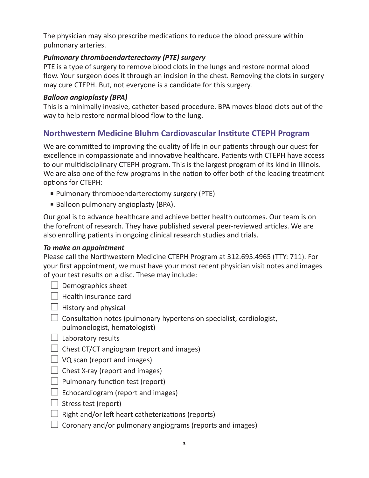The physician may also prescribe medications to reduce the blood pressure within pulmonary arteries.

#### *Pulmonary thromboendarterectomy (PTE) surgery*

PTE is a type of surgery to remove blood clots in the lungs and restore normal blood flow. Your surgeon does it through an incision in the chest. Removing the clots in surgery may cure CTEPH. But, not everyone is a candidate for this surgery.

#### *Balloon angioplasty (BPA)*

This is a minimally invasive, catheter-based procedure. BPA moves blood clots out of the way to help restore normal blood flow to the lung.

## **Northwestern Medicine Bluhm Cardiovascular Institute CTEPH Program**

We are committed to improving the quality of life in our patients through our quest for excellence in compassionate and innovative healthcare. Patients with CTEPH have access to our multidisciplinary CTEPH program. This is the largest program of its kind in Illinois. We are also one of the few programs in the nation to offer both of the leading treatment options for CTEPH:

- Pulmonary thromboendarterectomy surgery (PTE)
- Balloon pulmonary angioplasty (BPA).

Our goal is to advance healthcare and achieve better health outcomes. Our team is on the forefront of research. They have published several peer-reviewed articles. We are also enrolling patients in ongoing clinical research studies and trials.

#### *To make an appointment*

Please call the Northwestern Medicine CTEPH Program at 312.695.4965 (TTY: 711). For your first appointment, we must have your most recent physician visit notes and images of your test results on a disc. These may include:

- $\Box$  Demographics sheet
- $\Box$  Health insurance card
- $\Box$  History and physical
- $\Box$  Consultation notes (pulmonary hypertension specialist, cardiologist, pulmonologist, hematologist)
- $\Box$  Laboratory results
- $\Box$  Chest CT/CT angiogram (report and images)
- $\Box$  VQ scan (report and images)
- $\Box$  Chest X-ray (report and images)
- $\Box$  Pulmonary function test (report)
- $\Box$  Echocardiogram (report and images)
- $\Box$  Stress test (report)
- $\Box$  Right and/or left heart catheterizations (reports)
- $\Box$  Coronary and/or pulmonary angiograms (reports and images)